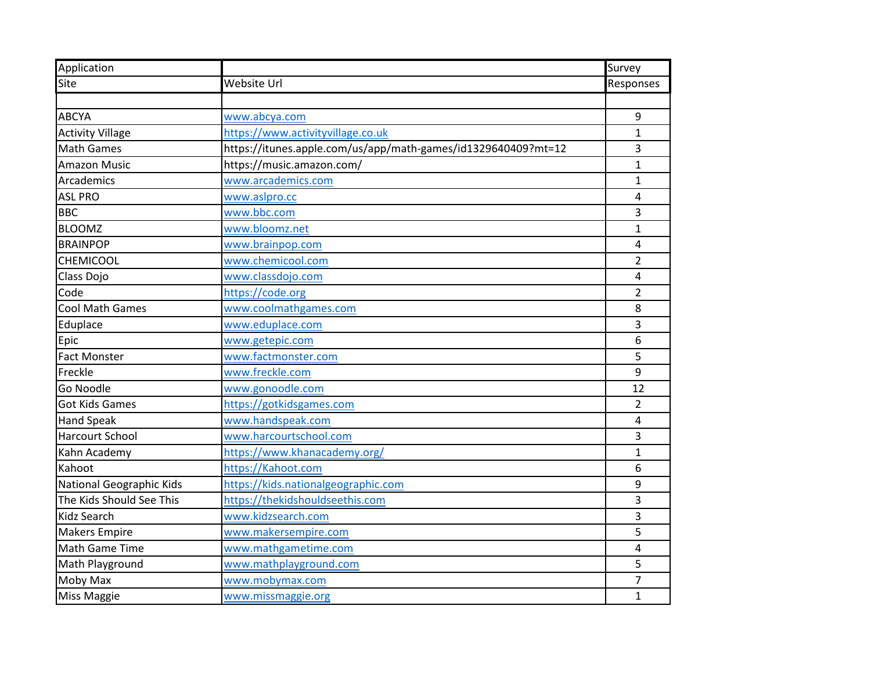| Application              |                                                               | Survey         |
|--------------------------|---------------------------------------------------------------|----------------|
| Site                     | Website Url                                                   | Responses      |
|                          |                                                               |                |
| <b>ABCYA</b>             | www.abcya.com                                                 | 9              |
| <b>Activity Village</b>  | https://www.activityvillage.co.uk                             | $\mathbf{1}$   |
| <b>Math Games</b>        | https://itunes.apple.com/us/app/math-games/id1329640409?mt=12 | 3              |
| <b>Amazon Music</b>      | https://music.amazon.com/                                     | $\overline{1}$ |
| Arcademics               | www.arcademics.com                                            | $\mathbf{1}$   |
| <b>ASL PRO</b>           | www.aslpro.cc                                                 | 4              |
| <b>BBC</b>               | www.bbc.com                                                   | 3              |
| <b>BLOOMZ</b>            | www.bloomz.net                                                | 1              |
| <b>BRAINPOP</b>          | www.brainpop.com                                              | 4              |
| CHEMICOOL                | www.chemicool.com                                             | $\overline{2}$ |
| Class Dojo               | www.classdojo.com                                             | 4              |
| Code                     | https://code.org                                              | $\overline{2}$ |
| <b>Cool Math Games</b>   | www.coolmathgames.com                                         | 8              |
| Eduplace                 | www.eduplace.com                                              | 3              |
| Epic                     | www.getepic.com                                               | 6              |
| <b>Fact Monster</b>      | www.factmonster.com                                           | 5              |
| Freckle                  | www.freckle.com                                               | 9              |
| Go Noodle                | www.gonoodle.com                                              | 12             |
| <b>Got Kids Games</b>    | https://gotkidsgames.com                                      | $\overline{2}$ |
| <b>Hand Speak</b>        | www.handspeak.com                                             | 4              |
| <b>Harcourt School</b>   | www.harcourtschool.com                                        | 3              |
| Kahn Academy             | https://www.khanacademy.org/                                  | $\overline{1}$ |
| Kahoot                   | https://Kahoot.com                                            | 6              |
| National Geographic Kids | https://kids.nationalgeographic.com                           | 9              |
| The Kids Should See This | https://thekidshouldseethis.com                               | 3              |
| <b>Kidz Search</b>       | www.kidzsearch.com                                            | 3              |
| <b>Makers Empire</b>     | www.makersempire.com                                          | 5              |
| Math Game Time           | www.mathgametime.com                                          | 4              |
| Math Playground          | www.mathplayground.com                                        | 5              |
| Moby Max                 | www.mobymax.com                                               | 7              |
| Miss Maggie              | www.missmaggie.org                                            | $\mathbf 1$    |